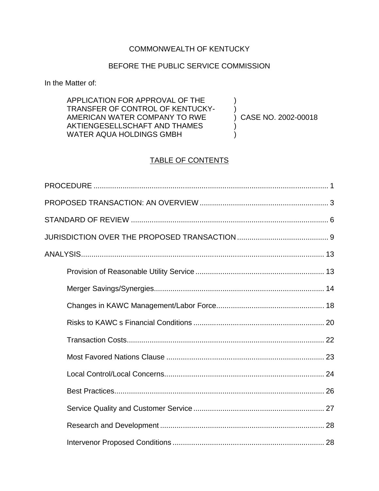# COMMONWEALTH OF KENTUCKY

# BEFORE THE PUBLIC SERVICE COMMISSION

In the Matter of:

| APPLICATION FOR APPROVAL OF THE  |                     |
|----------------------------------|---------------------|
| TRANSFER OF CONTROL OF KENTUCKY- |                     |
| AMERICAN WATER COMPANY TO RWE    | CASE NO. 2002-00018 |
| AKTIENGESELLSCHAFT AND THAMES    |                     |
| WATER AQUA HOLDINGS GMBH         |                     |

# TABLE OF CONTENTS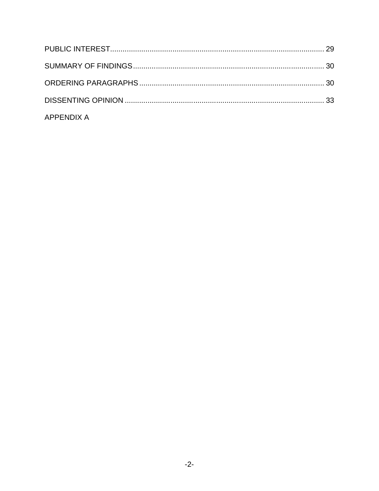| <b>APPENDIX A</b> |  |
|-------------------|--|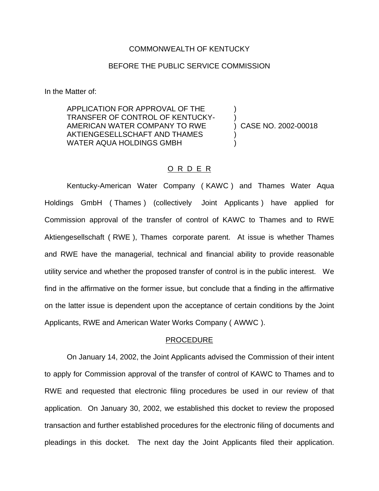### COMMONWEALTH OF KENTUCKY

## BEFORE THE PUBLIC SERVICE COMMISSION

In the Matter of:

APPLICATION FOR APPROVAL OF THE TRANSFER OF CONTROL OF KENTUCKY-AMERICAN WATER COMPANY TO RWE AKTIENGESELLSCHAFT AND THAMES WATER AQUA HOLDINGS GMBH ) ) ) CASE NO. 2002-00018 ) )

### O R D E R

Kentucky-American Water Company ( KAWC ) and Thames Water Aqua Holdings GmbH ( Thames ) (collectively Joint Applicants ) have applied for Commission approval of the transfer of control of KAWC to Thames and to RWE Aktiengesellschaft ( RWE ), Thames corporate parent. At issue is whether Thames and RWE have the managerial, technical and financial ability to provide reasonable utility service and whether the proposed transfer of control is in the public interest. We find in the affirmative on the former issue, but conclude that a finding in the affirmative on the latter issue is dependent upon the acceptance of certain conditions by the Joint Applicants, RWE and American Water Works Company ( AWWC ).

#### PROCEDURE

On January 14, 2002, the Joint Applicants advised the Commission of their intent to apply for Commission approval of the transfer of control of KAWC to Thames and to RWE and requested that electronic filing procedures be used in our review of that application. On January 30, 2002, we established this docket to review the proposed transaction and further established procedures for the electronic filing of documents and pleadings in this docket. The next day the Joint Applicants filed their application.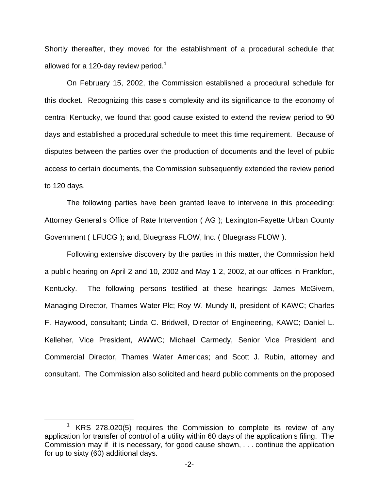Shortly thereafter, they moved for the establishment of a procedural schedule that allowed for a 120-day review period.<sup>1</sup>

On February 15, 2002, the Commission established a procedural schedule for this docket. Recognizing this case s complexity and its significance to the economy of central Kentucky, we found that good cause existed to extend the review period to 90 days and established a procedural schedule to meet this time requirement. Because of disputes between the parties over the production of documents and the level of public access to certain documents, the Commission subsequently extended the review period to 120 days.

The following parties have been granted leave to intervene in this proceeding: Attorney General s Office of Rate Intervention ( AG ); Lexington-Fayette Urban County Government ( LFUCG ); and, Bluegrass FLOW, Inc. ( Bluegrass FLOW ).

Following extensive discovery by the parties in this matter, the Commission held a public hearing on April 2 and 10, 2002 and May 1-2, 2002, at our offices in Frankfort, Kentucky. The following persons testified at these hearings: James McGivern, Managing Director, Thames Water Plc; Roy W. Mundy II, president of KAWC; Charles F. Haywood, consultant; Linda C. Bridwell, Director of Engineering, KAWC; Daniel L. Kelleher, Vice President, AWWC; Michael Carmedy, Senior Vice President and Commercial Director, Thames Water Americas; and Scott J. Rubin, attorney and consultant. The Commission also solicited and heard public comments on the proposed

 $1$  KRS 278.020(5) requires the Commission to complete its review of any application for transfer of control of a utility within 60 days of the application s filing. The Commission may if it is necessary, for good cause shown, . . . continue the application for up to sixty (60) additional days.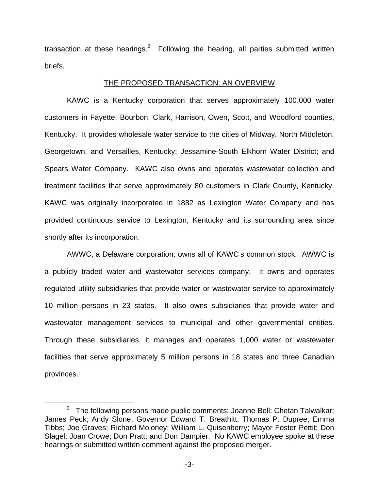transaction at these hearings. $2$  Following the hearing, all parties submitted written briefs.

## THE PROPOSED TRANSACTION: AN OVERVIEW

KAWC is a Kentucky corporation that serves approximately 100,000 water customers in Fayette, Bourbon, Clark, Harrison, Owen, Scott, and Woodford counties, Kentucky. It provides wholesale water service to the cities of Midway, North Middleton, Georgetown, and Versailles, Kentucky; Jessamine-South Elkhorn Water District; and Spears Water Company. KAWC also owns and operates wastewater collection and treatment facilities that serve approximately 80 customers in Clark County, Kentucky. KAWC was originally incorporated in 1882 as Lexington Water Company and has provided continuous service to Lexington, Kentucky and its surrounding area since shortly after its incorporation.

AWWC, a Delaware corporation, owns all of KAWC s common stock. AWWC is a publicly traded water and wastewater services company. It owns and operates regulated utility subsidiaries that provide water or wastewater service to approximately 10 million persons in 23 states. It also owns subsidiaries that provide water and wastewater management services to municipal and other governmental entities. Through these subsidiaries, it manages and operates 1,000 water or wastewater facilities that serve approximately 5 million persons in 18 states and three Canadian provinces.

 $2$  The following persons made public comments: Joanne Bell; Chetan Talwalkar; James Peck; Andy Slone; Governor Edward T. Breathitt; Thomas P. Dupree; Emma Tibbs; Joe Graves; Richard Moloney; William L. Quisenberry; Mayor Foster Pettit; Don Slagel; Joan Crowe; Don Pratt; and Don Dampier. No KAWC employee spoke at these hearings or submitted written comment against the proposed merger.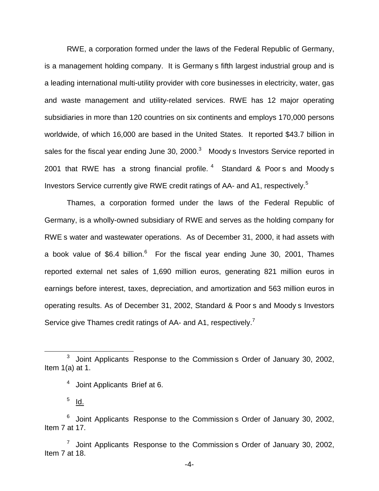RWE, a corporation formed under the laws of the Federal Republic of Germany, is a management holding company. It is Germany s fifth largest industrial group and is a leading international multi-utility provider with core businesses in electricity, water, gas and waste management and utility-related services. RWE has 12 major operating subsidiaries in more than 120 countries on six continents and employs 170,000 persons worldwide, of which 16,000 are based in the United States. It reported \$43.7 billion in sales for the fiscal year ending June 30, 2000.<sup>3</sup> Moody s Investors Service reported in 2001 that RWE has a strong financial profile.  $4$  Standard & Poor s and Moody s Investors Service currently give RWE credit ratings of AA- and A1, respectively.5

Thames, a corporation formed under the laws of the Federal Republic of Germany, is a wholly-owned subsidiary of RWE and serves as the holding company for RWE s water and wastewater operations. As of December 31, 2000, it had assets with a book value of  $$6.4$  billion.<sup>6</sup> For the fiscal year ending June 30, 2001, Thames reported external net sales of 1,690 million euros, generating 821 million euros in earnings before interest, taxes, depreciation, and amortization and 563 million euros in operating results. As of December 31, 2002, Standard & Poor s and Moody s Investors Service give Thames credit ratings of AA- and A1, respectively.<sup>7</sup>

<sup>3</sup> Joint Applicants Response to the Commission s Order of January 30, 2002, Item 1(a) at 1.

<sup>4</sup> Joint Applicants Brief at 6.

 $5$  Id.

 $6$  Joint Applicants Response to the Commission s Order of January 30, 2002, Item 7 at 17.

 $7$  Joint Applicants Response to the Commission s Order of January 30, 2002, Item 7 at 18.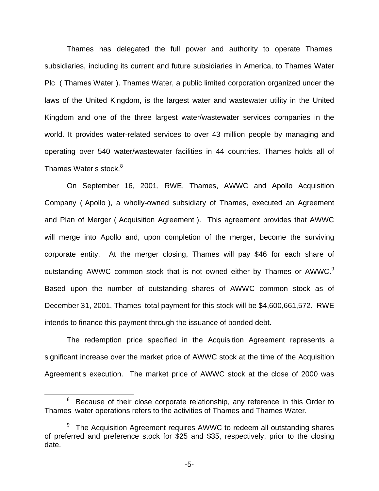Thames has delegated the full power and authority to operate Thames subsidiaries, including its current and future subsidiaries in America, to Thames Water Plc ( Thames Water ). Thames Water, a public limited corporation organized under the laws of the United Kingdom, is the largest water and wastewater utility in the United Kingdom and one of the three largest water/wastewater services companies in the world. It provides water-related services to over 43 million people by managing and operating over 540 water/wastewater facilities in 44 countries. Thames holds all of Thames Water s stock.<sup>8</sup>

On September 16, 2001, RWE, Thames, AWWC and Apollo Acquisition Company ( Apollo ), a wholly-owned subsidiary of Thames, executed an Agreement and Plan of Merger ( Acquisition Agreement ). This agreement provides that AWWC will merge into Apollo and, upon completion of the merger, become the surviving corporate entity. At the merger closing, Thames will pay \$46 for each share of outstanding AWWC common stock that is not owned either by Thames or AWWC.<sup>9</sup> Based upon the number of outstanding shares of AWWC common stock as of December 31, 2001, Thames total payment for this stock will be \$4,600,661,572. RWE intends to finance this payment through the issuance of bonded debt.

The redemption price specified in the Acquisition Agreement represents a significant increase over the market price of AWWC stock at the time of the Acquisition Agreement s execution. The market price of AWWC stock at the close of 2000 was

 $8$  Because of their close corporate relationship, any reference in this Order to Thames water operations refers to the activities of Thames and Thames Water.

 $9$  The Acquisition Agreement requires AWWC to redeem all outstanding shares of preferred and preference stock for \$25 and \$35, respectively, prior to the closing date.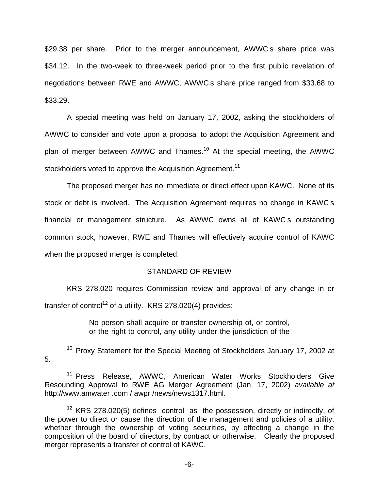\$29.38 per share. Prior to the merger announcement, AWWC s share price was \$34.12. In the two-week to three-week period prior to the first public revelation of negotiations between RWE and AWWC, AWWC s share price ranged from \$33.68 to \$33.29.

A special meeting was held on January 17, 2002, asking the stockholders of AWWC to consider and vote upon a proposal to adopt the Acquisition Agreement and plan of merger between AWWC and Thames.<sup>10</sup> At the special meeting, the AWWC stockholders voted to approve the Acquisition Agreement.<sup>11</sup>

The proposed merger has no immediate or direct effect upon KAWC. None of its stock or debt is involved. The Acquisition Agreement requires no change in KAWC s financial or management structure. As AWWC owns all of KAWC s outstanding common stock, however, RWE and Thames will effectively acquire control of KAWC when the proposed merger is completed.

#### STANDARD OF REVIEW

KRS 278.020 requires Commission review and approval of any change in or transfer of control<sup>12</sup> of a utility. KRS 278.020(4) provides:

> No person shall acquire or transfer ownership of, or control, or the right to control, any utility under the jurisdiction of the

<sup>10</sup> Proxy Statement for the Special Meeting of Stockholders January 17, 2002 at 5.

<sup>11</sup> Press Release, AWWC, American Water Works Stockholders Give Resounding Approval to RWE AG Merger Agreement (Jan. 17, 2002) *available at* http://www.amwater .com / awpr /news/news1317.html.

 $12$  KRS 278.020(5) defines control as the possession, directly or indirectly, of the power to direct or cause the direction of the management and policies of a utility, whether through the ownership of voting securities, by effecting a change in the composition of the board of directors, by contract or otherwise. Clearly the proposed merger represents a transfer of control of KAWC.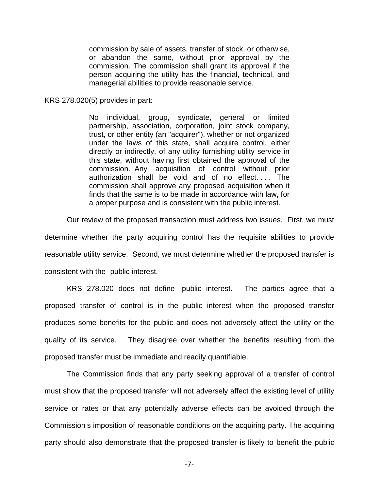commission by sale of assets, transfer of stock, or otherwise, or abandon the same, without prior approval by the commission. The commission shall grant its approval if the person acquiring the utility has the financial, technical, and managerial abilities to provide reasonable service.

KRS 278.020(5) provides in part:

No individual, group, syndicate, general or limited partnership, association, corporation, joint stock company, trust, or other entity (an "acquirer"), whether or not organized under the laws of this state, shall acquire control, either directly or indirectly, of any utility furnishing utility service in this state, without having first obtained the approval of the commission. Any acquisition of control without prior authorization shall be void and of no effect. . . . The commission shall approve any proposed acquisition when it finds that the same is to be made in accordance with law, for a proper purpose and is consistent with the public interest.

Our review of the proposed transaction must address two issues. First, we must

determine whether the party acquiring control has the requisite abilities to provide reasonable utility service. Second, we must determine whether the proposed transfer is consistent with the public interest.

KRS 278.020 does not define public interest. The parties agree that a proposed transfer of control is in the public interest when the proposed transfer produces some benefits for the public and does not adversely affect the utility or the quality of its service. They disagree over whether the benefits resulting from the proposed transfer must be immediate and readily quantifiable.

The Commission finds that any party seeking approval of a transfer of control must show that the proposed transfer will not adversely affect the existing level of utility service or rates or that any potentially adverse effects can be avoided through the Commission s imposition of reasonable conditions on the acquiring party. The acquiring party should also demonstrate that the proposed transfer is likely to benefit the public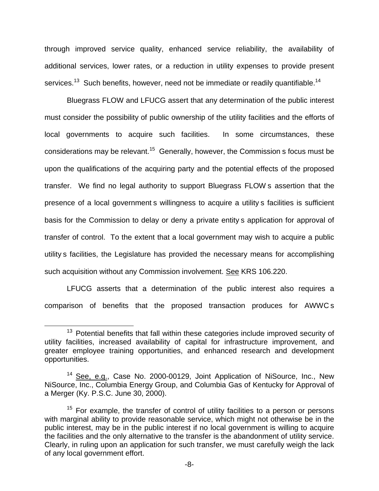through improved service quality, enhanced service reliability, the availability of additional services, lower rates, or a reduction in utility expenses to provide present services.<sup>13</sup> Such benefits, however, need not be immediate or readily quantifiable.<sup>14</sup>

Bluegrass FLOW and LFUCG assert that any determination of the public interest must consider the possibility of public ownership of the utility facilities and the efforts of local governments to acquire such facilities. In some circumstances, these considerations may be relevant.<sup>15</sup> Generally, however, the Commission s focus must be upon the qualifications of the acquiring party and the potential effects of the proposed transfer. We find no legal authority to support Bluegrass FLOW s assertion that the presence of a local government s willingness to acquire a utility s facilities is sufficient basis for the Commission to delay or deny a private entity s application for approval of transfer of control. To the extent that a local government may wish to acquire a public utility s facilities, the Legislature has provided the necessary means for accomplishing such acquisition without any Commission involvement. See KRS 106.220.

LFUCG asserts that a determination of the public interest also requires a comparison of benefits that the proposed transaction produces for AWWC s

<sup>&</sup>lt;sup>13</sup> Potential benefits that fall within these categories include improved security of utility facilities, increased availability of capital for infrastructure improvement, and greater employee training opportunities, and enhanced research and development opportunities.

<sup>&</sup>lt;sup>14</sup> See, e.g., Case No. 2000-00129, Joint Application of NiSource, Inc., New NiSource, Inc., Columbia Energy Group, and Columbia Gas of Kentucky for Approval of a Merger (Ky. P.S.C. June 30, 2000).

 $15$  For example, the transfer of control of utility facilities to a person or persons with marginal ability to provide reasonable service, which might not otherwise be in the public interest, may be in the public interest if no local government is willing to acquire the facilities and the only alternative to the transfer is the abandonment of utility service. Clearly, in ruling upon an application for such transfer, we must carefully weigh the lack of any local government effort.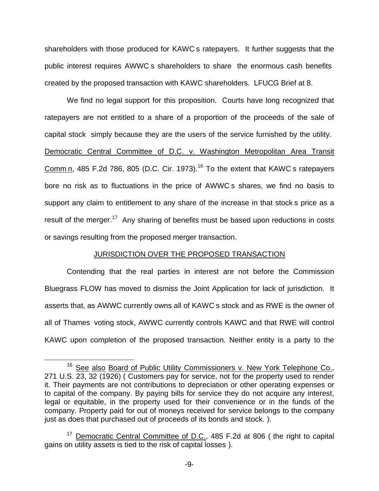shareholders with those produced for KAWC s ratepayers. It further suggests that the public interest requires AWWC s shareholders to share the enormous cash benefits created by the proposed transaction with KAWC shareholders. LFUCG Brief at 8.

We find no legal support for this proposition. Courts have long recognized that ratepayers are not entitled to a share of a proportion of the proceeds of the sale of capital stock simply because they are the users of the service furnished by the utility. Democratic Central Committee of D.C. v. Washington Metropolitan Area Transit Comm n, 485 F.2d 786, 805 (D.C. Cir. 1973).<sup>16</sup> To the extent that KAWC s ratepayers bore no risk as to fluctuations in the price of AWWC s shares, we find no basis to support any claim to entitlement to any share of the increase in that stock s price as a result of the merger.<sup>17</sup> Any sharing of benefits must be based upon reductions in costs or savings resulting from the proposed merger transaction.

#### JURISDICTION OVER THE PROPOSED TRANSACTION

Contending that the real parties in interest are not before the Commission Bluegrass FLOW has moved to dismiss the Joint Application for lack of jurisdiction. It asserts that, as AWWC currently owns all of KAWC s stock and as RWE is the owner of all of Thames voting stock, AWWC currently controls KAWC and that RWE will control KAWC upon completion of the proposed transaction. Neither entity is a party to the

<sup>&</sup>lt;sup>16</sup> See also Board of Public Utility Commissioners v. New York Telephone Co., 271 U.S. 23, 32 (1926) ( Customers pay for service, not for the property used to render it. Their payments are not contributions to depreciation or other operating expenses or to capital of the company. By paying bills for service they do not acquire any interest, legal or equitable, in the property used for their convenience or in the funds of the company. Property paid for out of moneys received for service belongs to the company just as does that purchased out of proceeds of its bonds and stock.).

<sup>&</sup>lt;sup>17</sup> Democratic Central Committee of D.C., 485 F.2d at 806 ( the right to capital gains on utility assets is tied to the risk of capital losses ).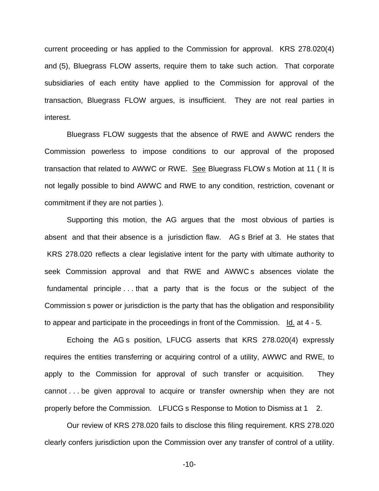current proceeding or has applied to the Commission for approval. KRS 278.020(4) and (5), Bluegrass FLOW asserts, require them to take such action. That corporate subsidiaries of each entity have applied to the Commission for approval of the transaction, Bluegrass FLOW argues, is insufficient. They are not real parties in interest.

Bluegrass FLOW suggests that the absence of RWE and AWWC renders the Commission powerless to impose conditions to our approval of the proposed transaction that related to AWWC or RWE. See Bluegrass FLOW s Motion at 11 ( It is not legally possible to bind AWWC and RWE to any condition, restriction, covenant or commitment if they are not parties ).

Supporting this motion, the AG argues that the most obvious of parties is absent and that their absence is a jurisdiction flaw. AG s Brief at 3. He states that KRS 278.020 reflects a clear legislative intent for the party with ultimate authority to seek Commission approval and that RWE and AWWC s absences violate the fundamental principle . . . that a party that is the focus or the subject of the Commission s power or jurisdiction is the party that has the obligation and responsibility to appear and participate in the proceedings in front of the Commission.  $Id.$  at 4 - 5.

Echoing the AG s position, LFUCG asserts that KRS 278.020(4) expressly requires the entities transferring or acquiring control of a utility, AWWC and RWE, to apply to the Commission for approval of such transfer or acquisition. They cannot . . . be given approval to acquire or transfer ownership when they are not properly before the Commission. LFUCG s Response to Motion to Dismiss at 1 2.

Our review of KRS 278.020 fails to disclose this filing requirement. KRS 278.020 clearly confers jurisdiction upon the Commission over any transfer of control of a utility.

-10-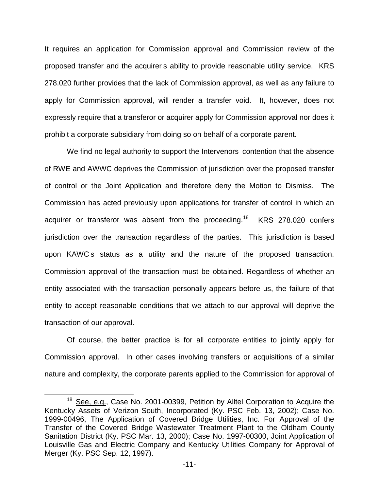It requires an application for Commission approval and Commission review of the proposed transfer and the acquirer s ability to provide reasonable utility service. KRS 278.020 further provides that the lack of Commission approval, as well as any failure to apply for Commission approval, will render a transfer void. It, however, does not expressly require that a transferor or acquirer apply for Commission approval nor does it prohibit a corporate subsidiary from doing so on behalf of a corporate parent.

We find no legal authority to support the Intervenors contention that the absence of RWE and AWWC deprives the Commission of jurisdiction over the proposed transfer of control or the Joint Application and therefore deny the Motion to Dismiss. The Commission has acted previously upon applications for transfer of control in which an acquirer or transferor was absent from the proceeding.<sup>18</sup> KRS 278.020 confers jurisdiction over the transaction regardless of the parties. This jurisdiction is based upon KAWC s status as a utility and the nature of the proposed transaction. Commission approval of the transaction must be obtained. Regardless of whether an entity associated with the transaction personally appears before us, the failure of that entity to accept reasonable conditions that we attach to our approval will deprive the transaction of our approval.

Of course, the better practice is for all corporate entities to jointly apply for Commission approval. In other cases involving transfers or acquisitions of a similar nature and complexity, the corporate parents applied to the Commission for approval of

<sup>&</sup>lt;sup>18</sup> See, e.g., Case No. 2001-00399, Petition by Alltel Corporation to Acquire the Kentucky Assets of Verizon South, Incorporated (Ky. PSC Feb. 13, 2002); Case No. 1999-00496, The Application of Covered Bridge Utilities, Inc. For Approval of the Transfer of the Covered Bridge Wastewater Treatment Plant to the Oldham County Sanitation District (Ky. PSC Mar. 13, 2000); Case No. 1997-00300, Joint Application of Louisville Gas and Electric Company and Kentucky Utilities Company for Approval of Merger (Ky. PSC Sep. 12, 1997).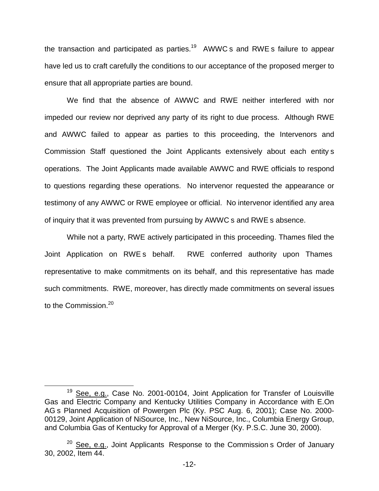the transaction and participated as parties.<sup>19</sup> AWWC s and RWE s failure to appear have led us to craft carefully the conditions to our acceptance of the proposed merger to ensure that all appropriate parties are bound.

We find that the absence of AWWC and RWE neither interfered with nor impeded our review nor deprived any party of its right to due process. Although RWE and AWWC failed to appear as parties to this proceeding, the Intervenors and Commission Staff questioned the Joint Applicants extensively about each entity s operations. The Joint Applicants made available AWWC and RWE officials to respond to questions regarding these operations. No intervenor requested the appearance or testimony of any AWWC or RWE employee or official. No intervenor identified any area of inquiry that it was prevented from pursuing by AWWC s and RWE s absence.

While not a party, RWE actively participated in this proceeding. Thames filed the Joint Application on RWE s behalf. RWE conferred authority upon Thames representative to make commitments on its behalf, and this representative has made such commitments. RWE, moreover, has directly made commitments on several issues to the Commission.<sup>20</sup>

<sup>&</sup>lt;sup>19</sup> See, e.g., Case No. 2001-00104, Joint Application for Transfer of Louisville Gas and Electric Company and Kentucky Utilities Company in Accordance with E.On AG s Planned Acquisition of Powergen Plc (Ky. PSC Aug. 6, 2001); Case No. 2000- 00129, Joint Application of NiSource, Inc., New NiSource, Inc., Columbia Energy Group, and Columbia Gas of Kentucky for Approval of a Merger (Ky. P.S.C. June 30, 2000).

 $20$  See, e.g., Joint Applicants Response to the Commission s Order of January 30, 2002, Item 44.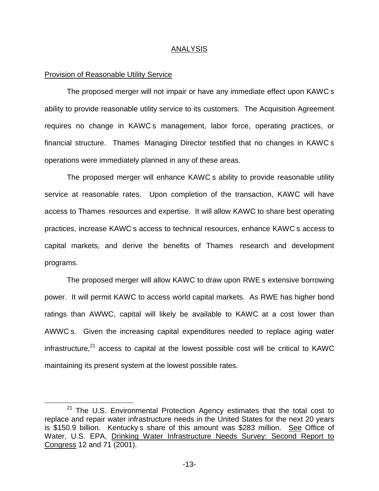#### ANALYSIS

#### Provision of Reasonable Utility Service

The proposed merger will not impair or have any immediate effect upon KAWC s ability to provide reasonable utility service to its customers. The Acquisition Agreement requires no change in KAWC s management, labor force, operating practices, or financial structure. Thames Managing Director testified that no changes in KAWC s operations were immediately planned in any of these areas.

The proposed merger will enhance KAWC s ability to provide reasonable utility service at reasonable rates. Upon completion of the transaction, KAWC will have access to Thames resources and expertise. It will allow KAWC to share best operating practices, increase KAWC s access to technical resources, enhance KAWC s access to capital markets, and derive the benefits of Thames research and development programs.

The proposed merger will allow KAWC to draw upon RWE s extensive borrowing power. It will permit KAWC to access world capital markets. As RWE has higher bond ratings than AWWC, capital will likely be available to KAWC at a cost lower than AWWC s. Given the increasing capital expenditures needed to replace aging water infrastructure, $^{21}$  access to capital at the lowest possible cost will be critical to KAWC maintaining its present system at the lowest possible rates.

 $21$  The U.S. Environmental Protection Agency estimates that the total cost to replace and repair water infrastructure needs in the United States for the next 20 years is \$150.9 billion. Kentucky s share of this amount was \$283 million. See Office of Water, U.S. EPA, Drinking Water Infrastructure Needs Survey: Second Report to Congress 12 and 71 (2001).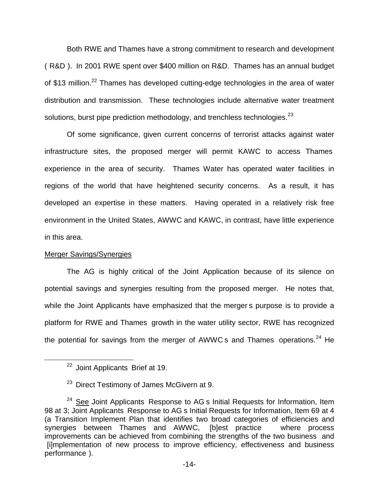Both RWE and Thames have a strong commitment to research and development ( R&D ). In 2001 RWE spent over \$400 million on R&D. Thames has an annual budget of \$13 million.<sup>22</sup> Thames has developed cutting-edge technologies in the area of water distribution and transmission. These technologies include alternative water treatment solutions, burst pipe prediction methodology, and trenchless technologies. $^{23}$ 

Of some significance, given current concerns of terrorist attacks against water infrastructure sites, the proposed merger will permit KAWC to access Thames experience in the area of security. Thames Water has operated water facilities in regions of the world that have heightened security concerns. As a result, it has developed an expertise in these matters. Having operated in a relatively risk free environment in the United States, AWWC and KAWC, in contrast, have little experience in this area.

# Merger Savings/Synergies

The AG is highly critical of the Joint Application because of its silence on potential savings and synergies resulting from the proposed merger. He notes that, while the Joint Applicants have emphasized that the merger s purpose is to provide a platform for RWE and Thames growth in the water utility sector, RWE has recognized the potential for savings from the merger of AWWC s and Thames operations.<sup>24</sup> He

<sup>&</sup>lt;sup>22</sup> Joint Applicants Brief at 19.

<sup>&</sup>lt;sup>23</sup> Direct Testimony of James McGivern at 9.

 $24$  See Joint Applicants Response to AG s Initial Requests for Information, Item 98 at 3; Joint Applicants Response to AG s Initial Requests for Information, Item 69 at 4 (a Transition Implement Plan that identifies two broad categories of efficiencies and synergies between Thames and AWWC, [b]est practice where process improvements can be achieved from combining the strengths of the two business and [i]mplementation of new process to improve efficiency, effectiveness and business performance ).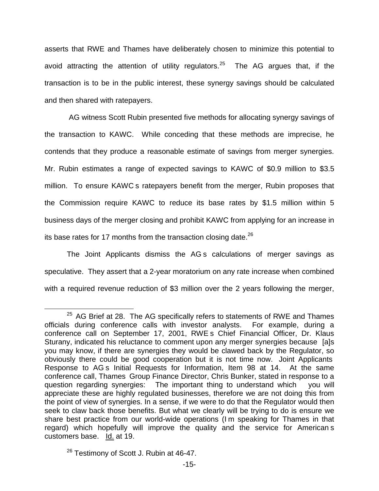asserts that RWE and Thames have deliberately chosen to minimize this potential to avoid attracting the attention of utility regulators.<sup>25</sup> The AG argues that, if the transaction is to be in the public interest, these synergy savings should be calculated and then shared with ratepayers.

AG witness Scott Rubin presented five methods for allocating synergy savings of the transaction to KAWC. While conceding that these methods are imprecise, he contends that they produce a reasonable estimate of savings from merger synergies. Mr. Rubin estimates a range of expected savings to KAWC of \$0.9 million to \$3.5 million. To ensure KAWC s ratepayers benefit from the merger, Rubin proposes that the Commission require KAWC to reduce its base rates by \$1.5 million within 5 business days of the merger closing and prohibit KAWC from applying for an increase in its base rates for 17 months from the transaction closing date.<sup>26</sup>

The Joint Applicants dismiss the AG s calculations of merger savings as speculative. They assert that a 2-year moratorium on any rate increase when combined with a required revenue reduction of \$3 million over the 2 years following the merger,

 $25$  AG Brief at 28. The AG specifically refers to statements of RWE and Thames officials during conference calls with investor analysts. For example, during a conference call on September 17, 2001, RWE s Chief Financial Officer, Dr. Klaus Sturany, indicated his reluctance to comment upon any merger synergies because [a]s you may know, if there are synergies they would be clawed back by the Regulator, so obviously there could be good cooperation but it is not time now. Joint Applicants Response to AG s Initial Requests for Information, Item 98 at 14. At the same conference call, Thames Group Finance Director, Chris Bunker, stated in response to a question regarding synergies: The important thing to understand which you will appreciate these are highly regulated businesses, therefore we are not doing this from the point of view of synergies. In a sense, if we were to do that the Regulator would then seek to claw back those benefits. But what we clearly will be trying to do is ensure we share best practice from our world-wide operations (I m speaking for Thames in that regard) which hopefully will improve the quality and the service for American s customers base. Id. at 19.

<sup>&</sup>lt;sup>26</sup> Testimony of Scott J. Rubin at 46-47.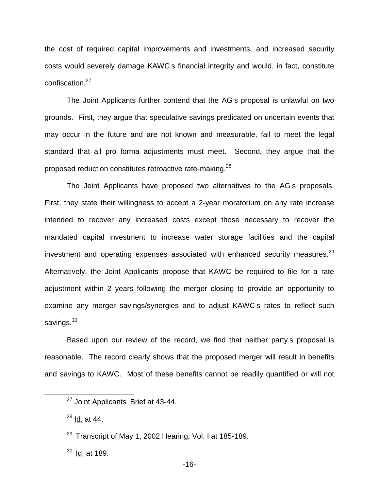the cost of required capital improvements and investments, and increased security costs would severely damage KAWC s financial integrity and would, in fact, constitute confiscation.<sup>27</sup>

The Joint Applicants further contend that the AG s proposal is unlawful on two grounds. First, they argue that speculative savings predicated on uncertain events that may occur in the future and are not known and measurable, fail to meet the legal standard that all pro forma adjustments must meet. Second, they argue that the proposed reduction constitutes retroactive rate-making.<sup>28</sup>

The Joint Applicants have proposed two alternatives to the AG s proposals. First, they state their willingness to accept a 2-year moratorium on any rate increase intended to recover any increased costs except those necessary to recover the mandated capital investment to increase water storage facilities and the capital investment and operating expenses associated with enhanced security measures.<sup>29</sup> Alternatively, the Joint Applicants propose that KAWC be required to file for a rate adjustment within 2 years following the merger closing to provide an opportunity to examine any merger savings/synergies and to adjust KAWC s rates to reflect such savings.<sup>30</sup>

Based upon our review of the record, we find that neither party s proposal is reasonable. The record clearly shows that the proposed merger will result in benefits and savings to KAWC. Most of these benefits cannot be readily quantified or will not

<sup>&</sup>lt;sup>27</sup> Joint Applicants Brief at 43-44.

 $28$  Id. at 44.

 $29$  Transcript of May 1, 2002 Hearing, Vol. I at 185-189.

 $30$  Id. at 189.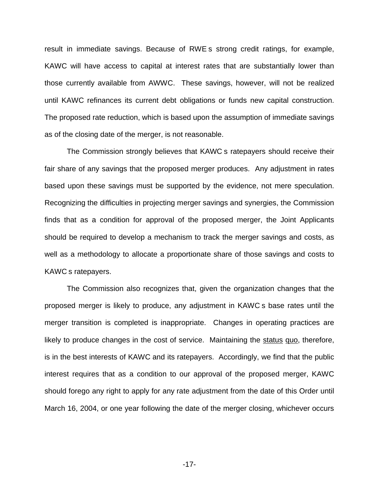result in immediate savings. Because of RWE s strong credit ratings, for example, KAWC will have access to capital at interest rates that are substantially lower than those currently available from AWWC. These savings, however, will not be realized until KAWC refinances its current debt obligations or funds new capital construction. The proposed rate reduction, which is based upon the assumption of immediate savings as of the closing date of the merger, is not reasonable.

The Commission strongly believes that KAWC s ratepayers should receive their fair share of any savings that the proposed merger produces. Any adjustment in rates based upon these savings must be supported by the evidence, not mere speculation. Recognizing the difficulties in projecting merger savings and synergies, the Commission finds that as a condition for approval of the proposed merger, the Joint Applicants should be required to develop a mechanism to track the merger savings and costs, as well as a methodology to allocate a proportionate share of those savings and costs to KAWC s ratepayers.

The Commission also recognizes that, given the organization changes that the proposed merger is likely to produce, any adjustment in KAWC s base rates until the merger transition is completed is inappropriate. Changes in operating practices are likely to produce changes in the cost of service. Maintaining the status quo, therefore, is in the best interests of KAWC and its ratepayers. Accordingly, we find that the public interest requires that as a condition to our approval of the proposed merger, KAWC should forego any right to apply for any rate adjustment from the date of this Order until March 16, 2004, or one year following the date of the merger closing, whichever occurs

-17-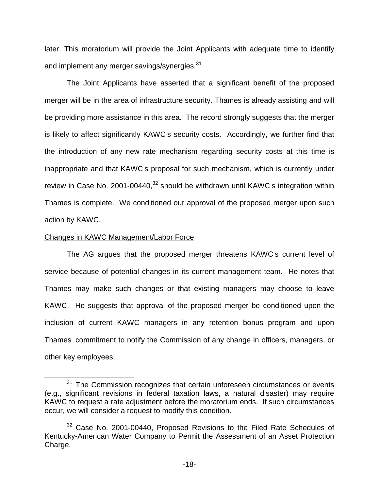later. This moratorium will provide the Joint Applicants with adequate time to identify and implement any merger savings/synergies.<sup>31</sup>

The Joint Applicants have asserted that a significant benefit of the proposed merger will be in the area of infrastructure security. Thames is already assisting and will be providing more assistance in this area. The record strongly suggests that the merger is likely to affect significantly KAWC s security costs. Accordingly, we further find that the introduction of any new rate mechanism regarding security costs at this time is inappropriate and that KAWC s proposal for such mechanism, which is currently under review in Case No. 2001-00440, $32$  should be withdrawn until KAWC s integration within Thames is complete. We conditioned our approval of the proposed merger upon such action by KAWC.

#### Changes in KAWC Management/Labor Force

The AG argues that the proposed merger threatens KAWC s current level of service because of potential changes in its current management team. He notes that Thames may make such changes or that existing managers may choose to leave KAWC. He suggests that approval of the proposed merger be conditioned upon the inclusion of current KAWC managers in any retention bonus program and upon Thames commitment to notify the Commission of any change in officers, managers, or other key employees.

<sup>&</sup>lt;sup>31</sup> The Commission recognizes that certain unforeseen circumstances or events (e.g., significant revisions in federal taxation laws, a natural disaster) may require KAWC to request a rate adjustment before the moratorium ends. If such circumstances occur, we will consider a request to modify this condition.

 $32$  Case No. 2001-00440, Proposed Revisions to the Filed Rate Schedules of Kentucky-American Water Company to Permit the Assessment of an Asset Protection Charge.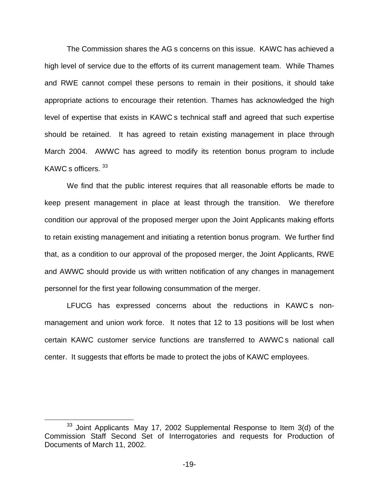The Commission shares the AG s concerns on this issue. KAWC has achieved a high level of service due to the efforts of its current management team. While Thames and RWE cannot compel these persons to remain in their positions, it should take appropriate actions to encourage their retention. Thames has acknowledged the high level of expertise that exists in KAWC s technical staff and agreed that such expertise should be retained. It has agreed to retain existing management in place through March 2004. AWWC has agreed to modify its retention bonus program to include KAWC s officers. 33

We find that the public interest requires that all reasonable efforts be made to keep present management in place at least through the transition. We therefore condition our approval of the proposed merger upon the Joint Applicants making efforts to retain existing management and initiating a retention bonus program. We further find that, as a condition to our approval of the proposed merger, the Joint Applicants, RWE and AWWC should provide us with written notification of any changes in management personnel for the first year following consummation of the merger.

LFUCG has expressed concerns about the reductions in KAWC s nonmanagement and union work force. It notes that 12 to 13 positions will be lost when certain KAWC customer service functions are transferred to AWWC s national call center. It suggests that efforts be made to protect the jobs of KAWC employees.

 $33$  Joint Applicants May 17, 2002 Supplemental Response to Item  $3(d)$  of the Commission Staff Second Set of Interrogatories and requests for Production of Documents of March 11, 2002.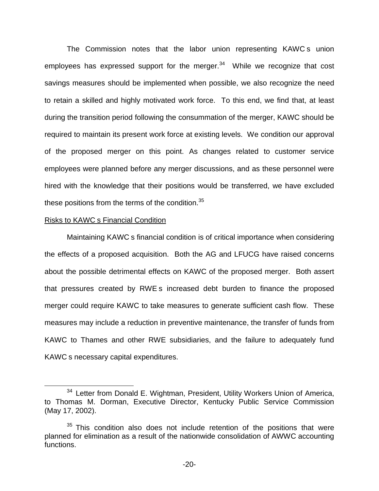The Commission notes that the labor union representing KAWC s union employees has expressed support for the merger. $34$  While we recognize that cost savings measures should be implemented when possible, we also recognize the need to retain a skilled and highly motivated work force. To this end, we find that, at least during the transition period following the consummation of the merger, KAWC should be required to maintain its present work force at existing levels. We condition our approval of the proposed merger on this point. As changes related to customer service employees were planned before any merger discussions, and as these personnel were hired with the knowledge that their positions would be transferred, we have excluded these positions from the terms of the condition. $35$ 

#### Risks to KAWC s Financial Condition

Maintaining KAWC s financial condition is of critical importance when considering the effects of a proposed acquisition. Both the AG and LFUCG have raised concerns about the possible detrimental effects on KAWC of the proposed merger. Both assert that pressures created by RWE s increased debt burden to finance the proposed merger could require KAWC to take measures to generate sufficient cash flow. These measures may include a reduction in preventive maintenance, the transfer of funds from KAWC to Thames and other RWE subsidiaries, and the failure to adequately fund KAWC s necessary capital expenditures.

<sup>&</sup>lt;sup>34</sup> Letter from Donald E. Wightman, President, Utility Workers Union of America, to Thomas M. Dorman, Executive Director, Kentucky Public Service Commission (May 17, 2002).

 $35$  This condition also does not include retention of the positions that were planned for elimination as a result of the nationwide consolidation of AWWC accounting functions.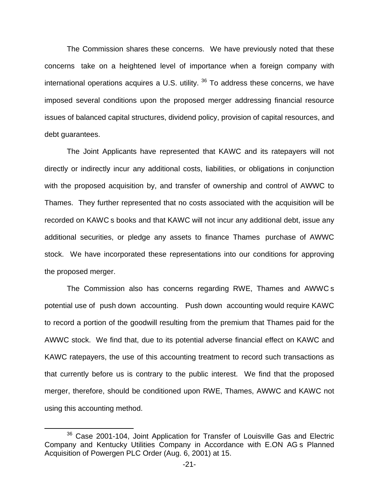The Commission shares these concerns. We have previously noted that these concerns take on a heightened level of importance when a foreign company with international operations acquires a U.S. utility.  $36$  To address these concerns, we have imposed several conditions upon the proposed merger addressing financial resource issues of balanced capital structures, dividend policy, provision of capital resources, and debt guarantees.

The Joint Applicants have represented that KAWC and its ratepayers will not directly or indirectly incur any additional costs, liabilities, or obligations in conjunction with the proposed acquisition by, and transfer of ownership and control of AWWC to Thames. They further represented that no costs associated with the acquisition will be recorded on KAWC s books and that KAWC will not incur any additional debt, issue any additional securities, or pledge any assets to finance Thames purchase of AWWC stock. We have incorporated these representations into our conditions for approving the proposed merger.

The Commission also has concerns regarding RWE, Thames and AWWC s potential use of push down accounting. Push down accounting would require KAWC to record a portion of the goodwill resulting from the premium that Thames paid for the AWWC stock. We find that, due to its potential adverse financial effect on KAWC and KAWC ratepayers, the use of this accounting treatment to record such transactions as that currently before us is contrary to the public interest. We find that the proposed merger, therefore, should be conditioned upon RWE, Thames, AWWC and KAWC not using this accounting method.

<sup>&</sup>lt;sup>36</sup> Case 2001-104, Joint Application for Transfer of Louisville Gas and Electric Company and Kentucky Utilities Company in Accordance with E.ON AG s Planned Acquisition of Powergen PLC Order (Aug. 6, 2001) at 15.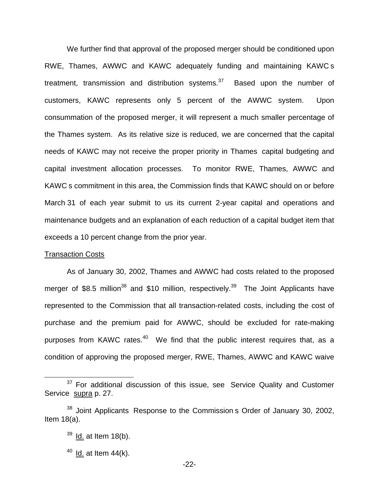We further find that approval of the proposed merger should be conditioned upon RWE, Thames, AWWC and KAWC adequately funding and maintaining KAWC s treatment, transmission and distribution systems. $37$  Based upon the number of customers, KAWC represents only 5 percent of the AWWC system. Upon consummation of the proposed merger, it will represent a much smaller percentage of the Thames system. As its relative size is reduced, we are concerned that the capital needs of KAWC may not receive the proper priority in Thames capital budgeting and capital investment allocation processes. To monitor RWE, Thames, AWWC and KAWC s commitment in this area, the Commission finds that KAWC should on or before March 31 of each year submit to us its current 2-year capital and operations and maintenance budgets and an explanation of each reduction of a capital budget item that exceeds a 10 percent change from the prior year.

#### Transaction Costs

As of January 30, 2002, Thames and AWWC had costs related to the proposed merger of \$8.5 million<sup>38</sup> and \$10 million, respectively.<sup>39</sup> The Joint Applicants have represented to the Commission that all transaction-related costs, including the cost of purchase and the premium paid for AWWC, should be excluded for rate-making purposes from KAWC rates. $40\,$  We find that the public interest requires that, as a condition of approving the proposed merger, RWE, Thames, AWWC and KAWC waive

 $37$  For additional discussion of this issue, see Service Quality and Customer Service supra p. 27.

 $38$  Joint Applicants Response to the Commission s Order of January 30, 2002, Item 18(a).

 $39$  Id. at Item 18(b).

 $40$  Id. at Item 44(k).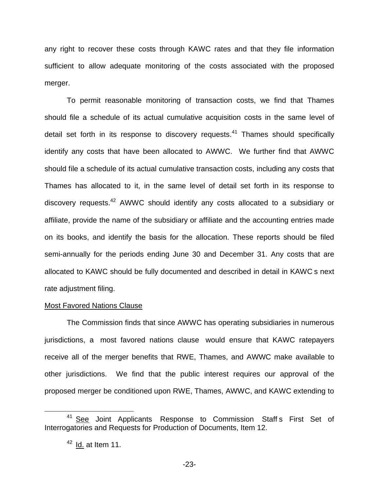any right to recover these costs through KAWC rates and that they file information sufficient to allow adequate monitoring of the costs associated with the proposed merger.

To permit reasonable monitoring of transaction costs, we find that Thames should file a schedule of its actual cumulative acquisition costs in the same level of detail set forth in its response to discovery requests. $41$  Thames should specifically identify any costs that have been allocated to AWWC. We further find that AWWC should file a schedule of its actual cumulative transaction costs, including any costs that Thames has allocated to it, in the same level of detail set forth in its response to discovery requests.<sup>42</sup> AWWC should identify any costs allocated to a subsidiary or affiliate, provide the name of the subsidiary or affiliate and the accounting entries made on its books, and identify the basis for the allocation. These reports should be filed semi-annually for the periods ending June 30 and December 31. Any costs that are allocated to KAWC should be fully documented and described in detail in KAWC s next rate adjustment filing.

#### Most Favored Nations Clause

The Commission finds that since AWWC has operating subsidiaries in numerous jurisdictions, a most favored nations clause would ensure that KAWC ratepayers receive all of the merger benefits that RWE, Thames, and AWWC make available to other jurisdictions. We find that the public interest requires our approval of the proposed merger be conditioned upon RWE, Thames, AWWC, and KAWC extending to

<sup>&</sup>lt;sup>41</sup> See Joint Applicants Response to Commission Staff s First Set of Interrogatories and Requests for Production of Documents, Item 12.

 $42$  Id. at Item 11.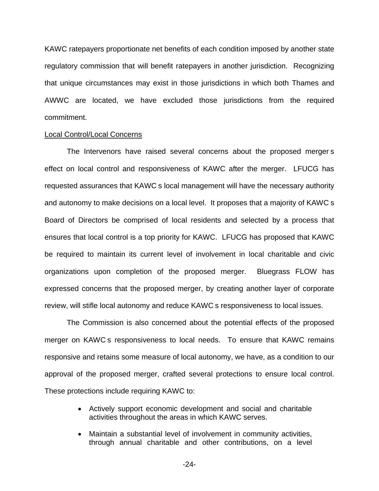KAWC ratepayers proportionate net benefits of each condition imposed by another state regulatory commission that will benefit ratepayers in another jurisdiction. Recognizing that unique circumstances may exist in those jurisdictions in which both Thames and AWWC are located, we have excluded those jurisdictions from the required commitment.

#### Local Control/Local Concerns

The Intervenors have raised several concerns about the proposed merger s effect on local control and responsiveness of KAWC after the merger. LFUCG has requested assurances that KAWC s local management will have the necessary authority and autonomy to make decisions on a local level. It proposes that a majority of KAWC s Board of Directors be comprised of local residents and selected by a process that ensures that local control is a top priority for KAWC. LFUCG has proposed that KAWC be required to maintain its current level of involvement in local charitable and civic organizations upon completion of the proposed merger. Bluegrass FLOW has expressed concerns that the proposed merger, by creating another layer of corporate review, will stifle local autonomy and reduce KAWC s responsiveness to local issues.

The Commission is also concerned about the potential effects of the proposed merger on KAWC s responsiveness to local needs. To ensure that KAWC remains responsive and retains some measure of local autonomy, we have, as a condition to our approval of the proposed merger, crafted several protections to ensure local control. These protections include requiring KAWC to:

- Actively support economic development and social and charitable activities throughout the areas in which KAWC serves.
- Maintain a substantial level of involvement in community activities, through annual charitable and other contributions, on a level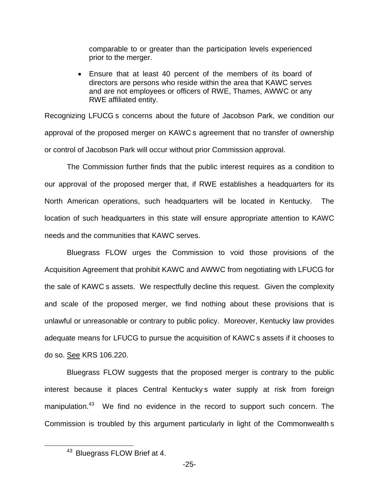comparable to or greater than the participation levels experienced prior to the merger.

■ Ensure that at least 40 percent of the members of its board of directors are persons who reside within the area that KAWC serves and are not employees or officers of RWE, Thames, AWWC or any RWE affiliated entity.

Recognizing LFUCG s concerns about the future of Jacobson Park, we condition our approval of the proposed merger on KAWC s agreement that no transfer of ownership or control of Jacobson Park will occur without prior Commission approval.

The Commission further finds that the public interest requires as a condition to our approval of the proposed merger that, if RWE establishes a headquarters for its North American operations, such headquarters will be located in Kentucky. The location of such headquarters in this state will ensure appropriate attention to KAWC needs and the communities that KAWC serves.

Bluegrass FLOW urges the Commission to void those provisions of the Acquisition Agreement that prohibit KAWC and AWWC from negotiating with LFUCG for the sale of KAWC s assets. We respectfully decline this request. Given the complexity and scale of the proposed merger, we find nothing about these provisions that is unlawful or unreasonable or contrary to public policy. Moreover, Kentucky law provides adequate means for LFUCG to pursue the acquisition of KAWC s assets if it chooses to do so. See KRS 106.220.

Bluegrass FLOW suggests that the proposed merger is contrary to the public interest because it places Central Kentucky s water supply at risk from foreign manipulation.<sup>43</sup> We find no evidence in the record to support such concern. The Commission is troubled by this argument particularly in light of the Commonwealth s

<sup>43</sup> Bluegrass FLOW Brief at 4.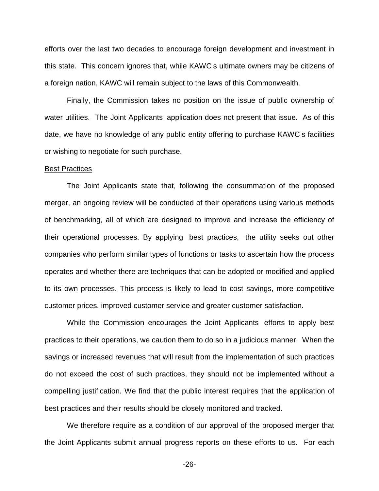efforts over the last two decades to encourage foreign development and investment in this state. This concern ignores that, while KAWC s ultimate owners may be citizens of a foreign nation, KAWC will remain subject to the laws of this Commonwealth.

Finally, the Commission takes no position on the issue of public ownership of water utilities. The Joint Applicants application does not present that issue. As of this date, we have no knowledge of any public entity offering to purchase KAWC s facilities or wishing to negotiate for such purchase.

#### Best Practices

The Joint Applicants state that, following the consummation of the proposed merger, an ongoing review will be conducted of their operations using various methods of benchmarking, all of which are designed to improve and increase the efficiency of their operational processes. By applying best practices, the utility seeks out other companies who perform similar types of functions or tasks to ascertain how the process operates and whether there are techniques that can be adopted or modified and applied to its own processes. This process is likely to lead to cost savings, more competitive customer prices, improved customer service and greater customer satisfaction.

While the Commission encourages the Joint Applicants efforts to apply best practices to their operations, we caution them to do so in a judicious manner. When the savings or increased revenues that will result from the implementation of such practices do not exceed the cost of such practices, they should not be implemented without a compelling justification. We find that the public interest requires that the application of best practices and their results should be closely monitored and tracked.

We therefore require as a condition of our approval of the proposed merger that the Joint Applicants submit annual progress reports on these efforts to us. For each

-26-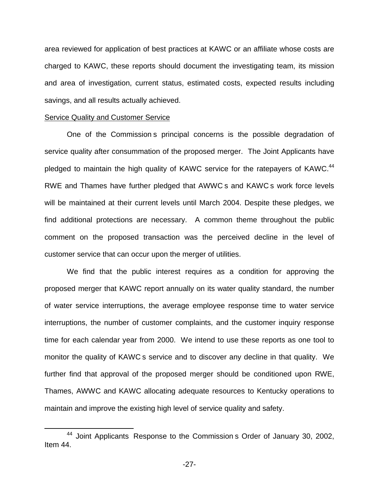area reviewed for application of best practices at KAWC or an affiliate whose costs are charged to KAWC, these reports should document the investigating team, its mission and area of investigation, current status, estimated costs, expected results including savings, and all results actually achieved.

#### Service Quality and Customer Service

One of the Commission s principal concerns is the possible degradation of service quality after consummation of the proposed merger. The Joint Applicants have pledged to maintain the high quality of KAWC service for the ratepayers of KAWC.<sup>44</sup> RWE and Thames have further pledged that AWWC s and KAWC s work force levels will be maintained at their current levels until March 2004. Despite these pledges, we find additional protections are necessary. A common theme throughout the public comment on the proposed transaction was the perceived decline in the level of customer service that can occur upon the merger of utilities.

We find that the public interest requires as a condition for approving the proposed merger that KAWC report annually on its water quality standard, the number of water service interruptions, the average employee response time to water service interruptions, the number of customer complaints, and the customer inquiry response time for each calendar year from 2000. We intend to use these reports as one tool to monitor the quality of KAWC s service and to discover any decline in that quality. We further find that approval of the proposed merger should be conditioned upon RWE, Thames, AWWC and KAWC allocating adequate resources to Kentucky operations to maintain and improve the existing high level of service quality and safety.

<sup>44</sup> Joint Applicants Response to the Commission s Order of January 30, 2002, Item 44.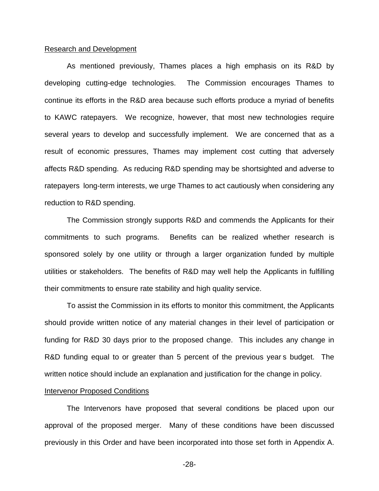#### Research and Development

As mentioned previously, Thames places a high emphasis on its R&D by developing cutting-edge technologies. The Commission encourages Thames to continue its efforts in the R&D area because such efforts produce a myriad of benefits to KAWC ratepayers. We recognize, however, that most new technologies require several years to develop and successfully implement. We are concerned that as a result of economic pressures, Thames may implement cost cutting that adversely affects R&D spending. As reducing R&D spending may be shortsighted and adverse to ratepayers long-term interests, we urge Thames to act cautiously when considering any reduction to R&D spending.

The Commission strongly supports R&D and commends the Applicants for their commitments to such programs. Benefits can be realized whether research is sponsored solely by one utility or through a larger organization funded by multiple utilities or stakeholders. The benefits of R&D may well help the Applicants in fulfilling their commitments to ensure rate stability and high quality service.

To assist the Commission in its efforts to monitor this commitment, the Applicants should provide written notice of any material changes in their level of participation or funding for R&D 30 days prior to the proposed change. This includes any change in R&D funding equal to or greater than 5 percent of the previous year s budget. The written notice should include an explanation and justification for the change in policy.

#### **Intervenor Proposed Conditions**

The Intervenors have proposed that several conditions be placed upon our approval of the proposed merger. Many of these conditions have been discussed previously in this Order and have been incorporated into those set forth in Appendix A.

-28-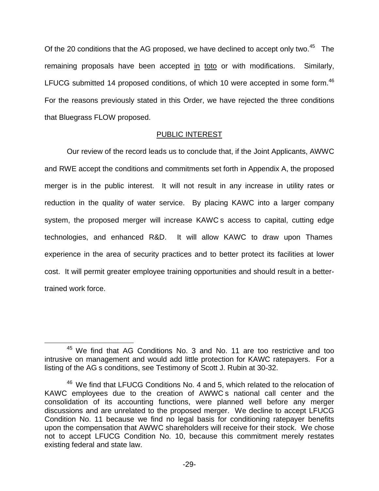Of the 20 conditions that the AG proposed, we have declined to accept only two.<sup>45</sup> The remaining proposals have been accepted in toto or with modifications. Similarly, LFUCG submitted 14 proposed conditions, of which 10 were accepted in some form.<sup>46</sup> For the reasons previously stated in this Order, we have rejected the three conditions that Bluegrass FLOW proposed.

# PUBLIC INTEREST

Our review of the record leads us to conclude that, if the Joint Applicants, AWWC and RWE accept the conditions and commitments set forth in Appendix A, the proposed merger is in the public interest. It will not result in any increase in utility rates or reduction in the quality of water service. By placing KAWC into a larger company system, the proposed merger will increase KAWC s access to capital, cutting edge technologies, and enhanced R&D. It will allow KAWC to draw upon Thames experience in the area of security practices and to better protect its facilities at lower cost. It will permit greater employee training opportunities and should result in a bettertrained work force.

<sup>&</sup>lt;sup>45</sup> We find that AG Conditions No. 3 and No. 11 are too restrictive and too intrusive on management and would add little protection for KAWC ratepayers. For a listing of the AG s conditions, see Testimony of Scott J. Rubin at 30-32.

<sup>&</sup>lt;sup>46</sup> We find that LFUCG Conditions No. 4 and 5, which related to the relocation of KAWC employees due to the creation of AWWC s national call center and the consolidation of its accounting functions, were planned well before any merger discussions and are unrelated to the proposed merger. We decline to accept LFUCG Condition No. 11 because we find no legal basis for conditioning ratepayer benefits upon the compensation that AWWC shareholders will receive for their stock. We chose not to accept LFUCG Condition No. 10, because this commitment merely restates existing federal and state law.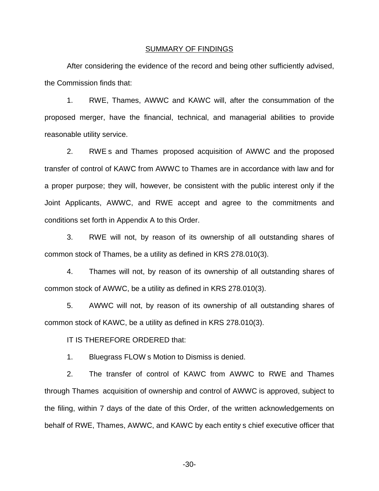#### SUMMARY OF FINDINGS

After considering the evidence of the record and being other sufficiently advised, the Commission finds that:

1. RWE, Thames, AWWC and KAWC will, after the consummation of the proposed merger, have the financial, technical, and managerial abilities to provide reasonable utility service.

2. RWE s and Thames proposed acquisition of AWWC and the proposed transfer of control of KAWC from AWWC to Thames are in accordance with law and for a proper purpose; they will, however, be consistent with the public interest only if the Joint Applicants, AWWC, and RWE accept and agree to the commitments and conditions set forth in Appendix A to this Order.

3. RWE will not, by reason of its ownership of all outstanding shares of common stock of Thames, be a utility as defined in KRS 278.010(3).

4. Thames will not, by reason of its ownership of all outstanding shares of common stock of AWWC, be a utility as defined in KRS 278.010(3).

5. AWWC will not, by reason of its ownership of all outstanding shares of common stock of KAWC, be a utility as defined in KRS 278.010(3).

IT IS THEREFORE ORDERED that:

1. Bluegrass FLOW s Motion to Dismiss is denied.

2. The transfer of control of KAWC from AWWC to RWE and Thames through Thames acquisition of ownership and control of AWWC is approved, subject to the filing, within 7 days of the date of this Order, of the written acknowledgements on behalf of RWE, Thames, AWWC, and KAWC by each entity s chief executive officer that

-30-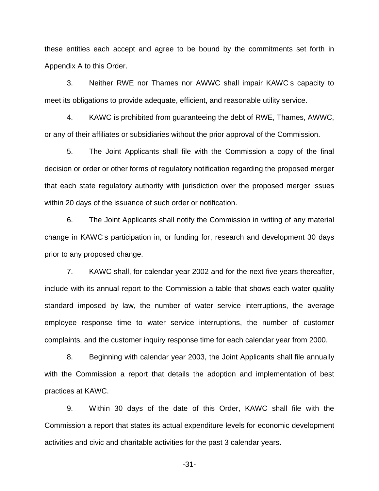these entities each accept and agree to be bound by the commitments set forth in Appendix A to this Order.

3. Neither RWE nor Thames nor AWWC shall impair KAWC s capacity to meet its obligations to provide adequate, efficient, and reasonable utility service.

4. KAWC is prohibited from guaranteeing the debt of RWE, Thames, AWWC, or any of their affiliates or subsidiaries without the prior approval of the Commission.

5. The Joint Applicants shall file with the Commission a copy of the final decision or order or other forms of regulatory notification regarding the proposed merger that each state regulatory authority with jurisdiction over the proposed merger issues within 20 days of the issuance of such order or notification.

6. The Joint Applicants shall notify the Commission in writing of any material change in KAWC s participation in, or funding for, research and development 30 days prior to any proposed change.

7. KAWC shall, for calendar year 2002 and for the next five years thereafter, include with its annual report to the Commission a table that shows each water quality standard imposed by law, the number of water service interruptions, the average employee response time to water service interruptions, the number of customer complaints, and the customer inquiry response time for each calendar year from 2000.

8. Beginning with calendar year 2003, the Joint Applicants shall file annually with the Commission a report that details the adoption and implementation of best practices at KAWC.

9. Within 30 days of the date of this Order, KAWC shall file with the Commission a report that states its actual expenditure levels for economic development activities and civic and charitable activities for the past 3 calendar years.

-31-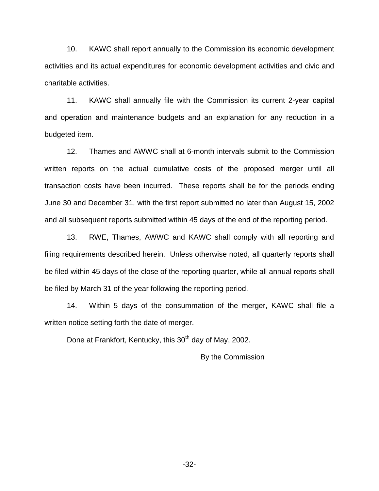10. KAWC shall report annually to the Commission its economic development activities and its actual expenditures for economic development activities and civic and charitable activities.

11. KAWC shall annually file with the Commission its current 2-year capital and operation and maintenance budgets and an explanation for any reduction in a budgeted item.

12. Thames and AWWC shall at 6-month intervals submit to the Commission written reports on the actual cumulative costs of the proposed merger until all transaction costs have been incurred. These reports shall be for the periods ending June 30 and December 31, with the first report submitted no later than August 15, 2002 and all subsequent reports submitted within 45 days of the end of the reporting period.

13. RWE, Thames, AWWC and KAWC shall comply with all reporting and filing requirements described herein. Unless otherwise noted, all quarterly reports shall be filed within 45 days of the close of the reporting quarter, while all annual reports shall be filed by March 31 of the year following the reporting period.

14. Within 5 days of the consummation of the merger, KAWC shall file a written notice setting forth the date of merger.

Done at Frankfort, Kentucky, this 30<sup>th</sup> day of May, 2002.

By the Commission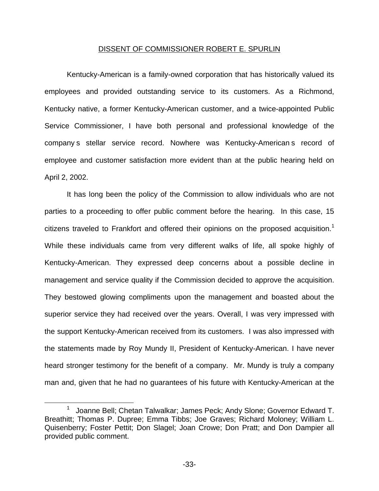### DISSENT OF COMMISSIONER ROBERT E. SPURLIN

Kentucky-American is a family-owned corporation that has historically valued its employees and provided outstanding service to its customers. As a Richmond, Kentucky native, a former Kentucky-American customer, and a twice-appointed Public Service Commissioner, I have both personal and professional knowledge of the company s stellar service record. Nowhere was Kentucky-American s record of employee and customer satisfaction more evident than at the public hearing held on April 2, 2002.

It has long been the policy of the Commission to allow individuals who are not parties to a proceeding to offer public comment before the hearing. In this case, 15 citizens traveled to Frankfort and offered their opinions on the proposed acquisition.<sup>1</sup> While these individuals came from very different walks of life, all spoke highly of Kentucky-American. They expressed deep concerns about a possible decline in management and service quality if the Commission decided to approve the acquisition. They bestowed glowing compliments upon the management and boasted about the superior service they had received over the years. Overall, I was very impressed with the support Kentucky-American received from its customers. I was also impressed with the statements made by Roy Mundy II, President of Kentucky-American. I have never heard stronger testimony for the benefit of a company. Mr. Mundy is truly a company man and, given that he had no guarantees of his future with Kentucky-American at the

<sup>1</sup> Joanne Bell; Chetan Talwalkar; James Peck; Andy Slone; Governor Edward T. Breathitt; Thomas P. Dupree; Emma Tibbs; Joe Graves; Richard Moloney; William L. Quisenberry; Foster Pettit; Don Slagel; Joan Crowe; Don Pratt; and Don Dampier all provided public comment.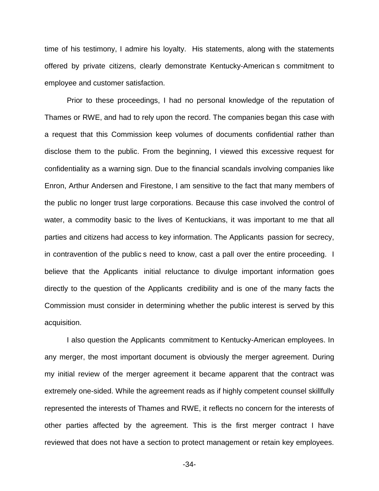time of his testimony, I admire his loyalty. His statements, along with the statements offered by private citizens, clearly demonstrate Kentucky-American s commitment to employee and customer satisfaction.

Prior to these proceedings, I had no personal knowledge of the reputation of Thames or RWE, and had to rely upon the record. The companies began this case with a request that this Commission keep volumes of documents confidential rather than disclose them to the public. From the beginning, I viewed this excessive request for confidentiality as a warning sign. Due to the financial scandals involving companies like Enron, Arthur Andersen and Firestone, I am sensitive to the fact that many members of the public no longer trust large corporations. Because this case involved the control of water, a commodity basic to the lives of Kentuckians, it was important to me that all parties and citizens had access to key information. The Applicants passion for secrecy, in contravention of the public s need to know, cast a pall over the entire proceeding. I believe that the Applicants initial reluctance to divulge important information goes directly to the question of the Applicants credibility and is one of the many facts the Commission must consider in determining whether the public interest is served by this acquisition.

I also question the Applicants commitment to Kentucky-American employees. In any merger, the most important document is obviously the merger agreement. During my initial review of the merger agreement it became apparent that the contract was extremely one-sided. While the agreement reads as if highly competent counsel skillfully represented the interests of Thames and RWE, it reflects no concern for the interests of other parties affected by the agreement. This is the first merger contract I have reviewed that does not have a section to protect management or retain key employees.

-34-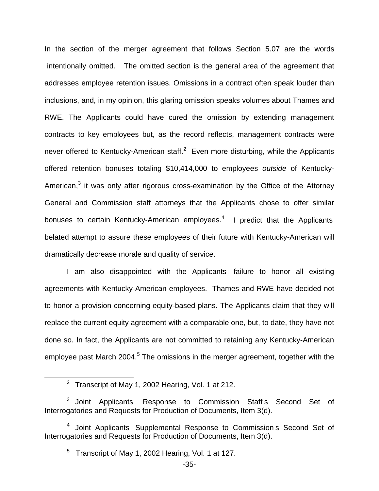In the section of the merger agreement that follows Section 5.07 are the words intentionally omitted. The omitted section is the general area of the agreement that addresses employee retention issues. Omissions in a contract often speak louder than inclusions, and, in my opinion, this glaring omission speaks volumes about Thames and RWE. The Applicants could have cured the omission by extending management contracts to key employees but, as the record reflects, management contracts were never offered to Kentucky-American staff. $2$  Even more disturbing, while the Applicants offered retention bonuses totaling \$10,414,000 to employees *outside* of Kentucky-American, $3$  it was only after rigorous cross-examination by the Office of the Attorney General and Commission staff attorneys that the Applicants chose to offer similar bonuses to certain Kentucky-American employees.<sup>4</sup> I predict that the Applicants belated attempt to assure these employees of their future with Kentucky-American will dramatically decrease morale and quality of service.

I am also disappointed with the Applicants failure to honor all existing agreements with Kentucky-American employees. Thames and RWE have decided not to honor a provision concerning equity-based plans. The Applicants claim that they will replace the current equity agreement with a comparable one, but, to date, they have not done so. In fact, the Applicants are not committed to retaining any Kentucky-American employee past March 2004.<sup>5</sup> The omissions in the merger agreement, together with the

<sup>&</sup>lt;sup>2</sup> Transcript of May 1, 2002 Hearing, Vol. 1 at 212.

<sup>&</sup>lt;sup>3</sup> Joint Applicants Response to Commission Staff s Second Set of Interrogatories and Requests for Production of Documents, Item 3(d).

<sup>&</sup>lt;sup>4</sup> Joint Applicants Supplemental Response to Commission s Second Set of Interrogatories and Requests for Production of Documents, Item 3(d).

<sup>&</sup>lt;sup>5</sup> Transcript of May 1, 2002 Hearing, Vol. 1 at 127.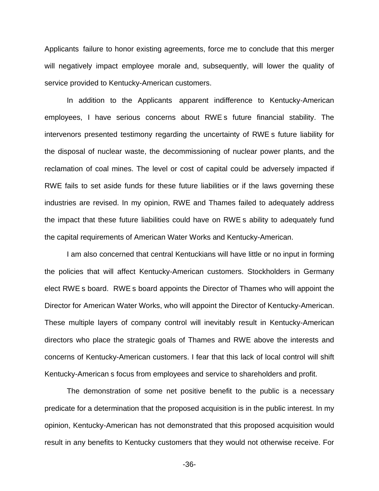Applicants failure to honor existing agreements, force me to conclude that this merger will negatively impact employee morale and, subsequently, will lower the quality of service provided to Kentucky-American customers.

In addition to the Applicants apparent indifference to Kentucky-American employees, I have serious concerns about RWE s future financial stability. The intervenors presented testimony regarding the uncertainty of RWE s future liability for the disposal of nuclear waste, the decommissioning of nuclear power plants, and the reclamation of coal mines. The level or cost of capital could be adversely impacted if RWE fails to set aside funds for these future liabilities or if the laws governing these industries are revised. In my opinion, RWE and Thames failed to adequately address the impact that these future liabilities could have on RWE s ability to adequately fund the capital requirements of American Water Works and Kentucky-American.

I am also concerned that central Kentuckians will have little or no input in forming the policies that will affect Kentucky-American customers. Stockholders in Germany elect RWE s board. RWE s board appoints the Director of Thames who will appoint the Director for American Water Works, who will appoint the Director of Kentucky-American. These multiple layers of company control will inevitably result in Kentucky-American directors who place the strategic goals of Thames and RWE above the interests and concerns of Kentucky-American customers. I fear that this lack of local control will shift Kentucky-American s focus from employees and service to shareholders and profit.

The demonstration of some net positive benefit to the public is a necessary predicate for a determination that the proposed acquisition is in the public interest. In my opinion, Kentucky-American has not demonstrated that this proposed acquisition would result in any benefits to Kentucky customers that they would not otherwise receive. For

-36-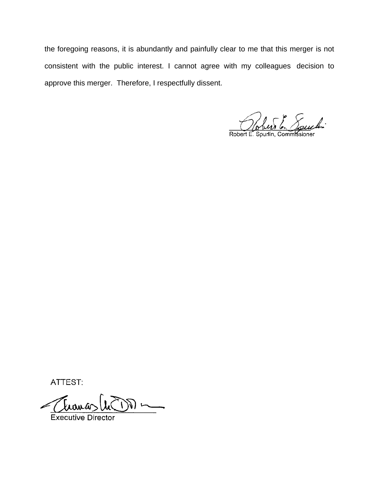the foregoing reasons, it is abundantly and painfully clear to me that this merger is not consistent with the public interest. I cannot agree with my colleagues decision to approve this merger. Therefore, I respectfully dissent.

Robert E. Spurlin, Commissioner

ATTEST:

 $\mathbb{D}$ 

**Executive Director**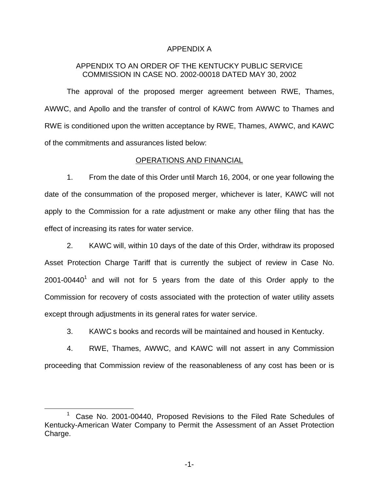# APPENDIX A

# APPENDIX TO AN ORDER OF THE KENTUCKY PUBLIC SERVICE COMMISSION IN CASE NO. 2002-00018 DATED MAY 30, 2002

The approval of the proposed merger agreement between RWE, Thames, AWWC, and Apollo and the transfer of control of KAWC from AWWC to Thames and RWE is conditioned upon the written acceptance by RWE, Thames, AWWC, and KAWC of the commitments and assurances listed below:

# OPERATIONS AND FINANCIAL

1. From the date of this Order until March 16, 2004, or one year following the date of the consummation of the proposed merger, whichever is later, KAWC will not apply to the Commission for a rate adjustment or make any other filing that has the effect of increasing its rates for water service.

2. KAWC will, within 10 days of the date of this Order, withdraw its proposed Asset Protection Charge Tariff that is currently the subject of review in Case No.  $2001$ -00440<sup>1</sup> and will not for 5 years from the date of this Order apply to the Commission for recovery of costs associated with the protection of water utility assets except through adjustments in its general rates for water service.

3. KAWC s books and records will be maintained and housed in Kentucky.

4. RWE, Thames, AWWC, and KAWC will not assert in any Commission proceeding that Commission review of the reasonableness of any cost has been or is

 $1$  Case No. 2001-00440, Proposed Revisions to the Filed Rate Schedules of Kentucky-American Water Company to Permit the Assessment of an Asset Protection Charge.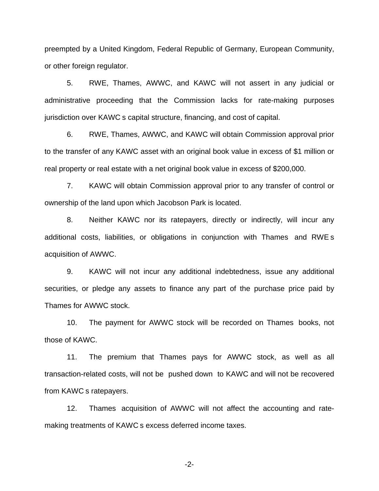preempted by a United Kingdom, Federal Republic of Germany, European Community, or other foreign regulator.

5. RWE, Thames, AWWC, and KAWC will not assert in any judicial or administrative proceeding that the Commission lacks for rate-making purposes jurisdiction over KAWC s capital structure, financing, and cost of capital.

6. RWE, Thames, AWWC, and KAWC will obtain Commission approval prior to the transfer of any KAWC asset with an original book value in excess of \$1 million or real property or real estate with a net original book value in excess of \$200,000.

7. KAWC will obtain Commission approval prior to any transfer of control or ownership of the land upon which Jacobson Park is located.

8. Neither KAWC nor its ratepayers, directly or indirectly, will incur any additional costs, liabilities, or obligations in conjunction with Thames and RWE s acquisition of AWWC.

9. KAWC will not incur any additional indebtedness, issue any additional securities, or pledge any assets to finance any part of the purchase price paid by Thames for AWWC stock.

10. The payment for AWWC stock will be recorded on Thames books, not those of KAWC.

11. The premium that Thames pays for AWWC stock, as well as all transaction-related costs, will not be pushed down to KAWC and will not be recovered from KAWC s ratepayers.

12. Thames acquisition of AWWC will not affect the accounting and ratemaking treatments of KAWC s excess deferred income taxes.

-2-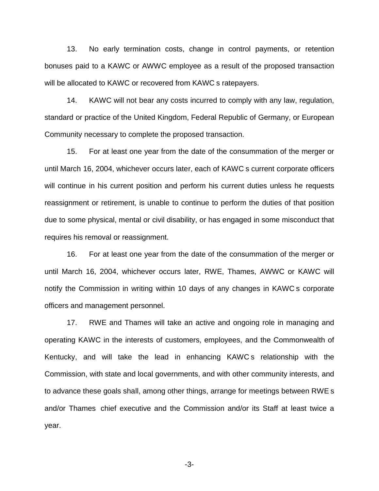13. No early termination costs, change in control payments, or retention bonuses paid to a KAWC or AWWC employee as a result of the proposed transaction will be allocated to KAWC or recovered from KAWC s ratepayers.

14. KAWC will not bear any costs incurred to comply with any law, regulation, standard or practice of the United Kingdom, Federal Republic of Germany, or European Community necessary to complete the proposed transaction.

15. For at least one year from the date of the consummation of the merger or until March 16, 2004, whichever occurs later, each of KAWC s current corporate officers will continue in his current position and perform his current duties unless he requests reassignment or retirement, is unable to continue to perform the duties of that position due to some physical, mental or civil disability, or has engaged in some misconduct that requires his removal or reassignment.

16. For at least one year from the date of the consummation of the merger or until March 16, 2004, whichever occurs later, RWE, Thames, AWWC or KAWC will notify the Commission in writing within 10 days of any changes in KAWC s corporate officers and management personnel.

17. RWE and Thames will take an active and ongoing role in managing and operating KAWC in the interests of customers, employees, and the Commonwealth of Kentucky, and will take the lead in enhancing KAWC s relationship with the Commission, with state and local governments, and with other community interests, and to advance these goals shall, among other things, arrange for meetings between RWE s and/or Thames chief executive and the Commission and/or its Staff at least twice a year.

-3-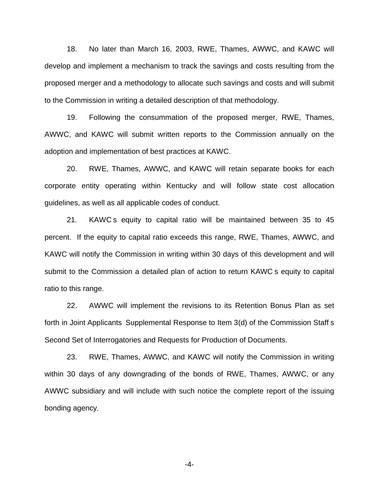18. No later than March 16, 2003, RWE, Thames, AWWC, and KAWC will develop and implement a mechanism to track the savings and costs resulting from the proposed merger and a methodology to allocate such savings and costs and will submit to the Commission in writing a detailed description of that methodology.

19. Following the consummation of the proposed merger, RWE, Thames, AWWC, and KAWC will submit written reports to the Commission annually on the adoption and implementation of best practices at KAWC.

20. RWE, Thames, AWWC, and KAWC will retain separate books for each corporate entity operating within Kentucky and will follow state cost allocation guidelines, as well as all applicable codes of conduct.

21. KAWC s equity to capital ratio will be maintained between 35 to 45 percent. If the equity to capital ratio exceeds this range, RWE, Thames, AWWC, and KAWC will notify the Commission in writing within 30 days of this development and will submit to the Commission a detailed plan of action to return KAWC s equity to capital ratio to this range.

22. AWWC will implement the revisions to its Retention Bonus Plan as set forth in Joint Applicants Supplemental Response to Item 3(d) of the Commission Staff s Second Set of Interrogatories and Requests for Production of Documents.

23. RWE, Thames, AWWC, and KAWC will notify the Commission in writing within 30 days of any downgrading of the bonds of RWE, Thames, AWWC, or any AWWC subsidiary and will include with such notice the complete report of the issuing bonding agency*.*

-4-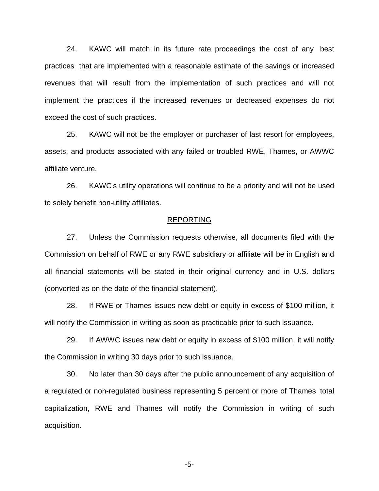24. KAWC will match in its future rate proceedings the cost of any best practices that are implemented with a reasonable estimate of the savings or increased revenues that will result from the implementation of such practices and will not implement the practices if the increased revenues or decreased expenses do not exceed the cost of such practices.

25. KAWC will not be the employer or purchaser of last resort for employees, assets, and products associated with any failed or troubled RWE, Thames, or AWWC affiliate venture.

26. KAWC s utility operations will continue to be a priority and will not be used to solely benefit non-utility affiliates.

#### REPORTING

27. Unless the Commission requests otherwise, all documents filed with the Commission on behalf of RWE or any RWE subsidiary or affiliate will be in English and all financial statements will be stated in their original currency and in U.S. dollars (converted as on the date of the financial statement).

28. If RWE or Thames issues new debt or equity in excess of \$100 million, it will notify the Commission in writing as soon as practicable prior to such issuance.

29. If AWWC issues new debt or equity in excess of \$100 million, it will notify the Commission in writing 30 days prior to such issuance.

30. No later than 30 days after the public announcement of any acquisition of a regulated or non-regulated business representing 5 percent or more of Thames total capitalization, RWE and Thames will notify the Commission in writing of such acquisition.

-5-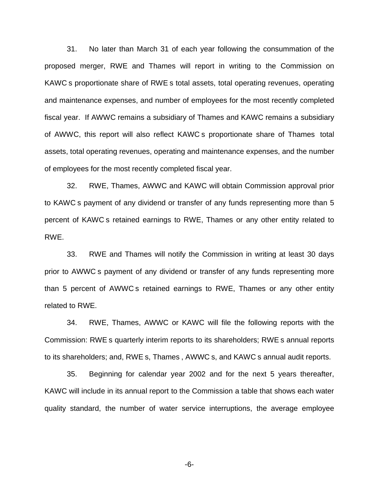31. No later than March 31 of each year following the consummation of the proposed merger, RWE and Thames will report in writing to the Commission on KAWC s proportionate share of RWE s total assets, total operating revenues, operating and maintenance expenses, and number of employees for the most recently completed fiscal year. If AWWC remains a subsidiary of Thames and KAWC remains a subsidiary of AWWC, this report will also reflect KAWC s proportionate share of Thames total assets, total operating revenues, operating and maintenance expenses, and the number of employees for the most recently completed fiscal year.

32. RWE, Thames, AWWC and KAWC will obtain Commission approval prior to KAWC s payment of any dividend or transfer of any funds representing more than 5 percent of KAWC s retained earnings to RWE, Thames or any other entity related to RWE.

33. RWE and Thames will notify the Commission in writing at least 30 days prior to AWWC s payment of any dividend or transfer of any funds representing more than 5 percent of AWWC s retained earnings to RWE, Thames or any other entity related to RWE.

34. RWE, Thames, AWWC or KAWC will file the following reports with the Commission: RWE s quarterly interim reports to its shareholders; RWE s annual reports to its shareholders; and, RWE s, Thames , AWWC s, and KAWC s annual audit reports.

35. Beginning for calendar year 2002 and for the next 5 years thereafter, KAWC will include in its annual report to the Commission a table that shows each water quality standard, the number of water service interruptions, the average employee

-6-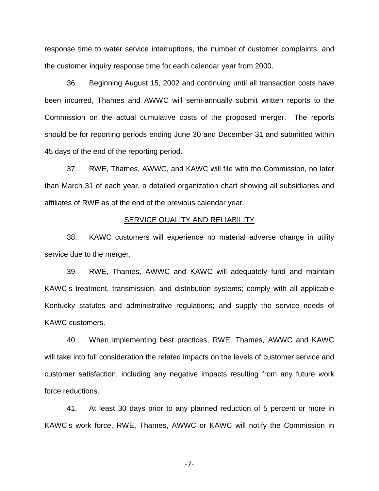response time to water service interruptions, the number of customer complaints, and the customer inquiry response time for each calendar year from 2000.

36. Beginning August 15, 2002 and continuing until all transaction costs have been incurred, Thames and AWWC will semi-annually submit written reports to the Commission on the actual cumulative costs of the proposed merger. The reports should be for reporting periods ending June 30 and December 31 and submitted within 45 days of the end of the reporting period.

37. RWE, Thames, AWWC, and KAWC will file with the Commission, no later than March 31 of each year, a detailed organization chart showing all subsidiaries and affiliates of RWE as of the end of the previous calendar year.

# SERVICE QUALITY AND RELIABILITY

38. KAWC customers will experience no material adverse change in utility service due to the merger.

39. RWE, Thames, AWWC and KAWC will adequately fund and maintain KAWC s treatment, transmission, and distribution systems; comply with all applicable Kentucky statutes and administrative regulations; and supply the service needs of KAWC customers.

40. When implementing best practices, RWE, Thames, AWWC and KAWC will take into full consideration the related impacts on the levels of customer service and customer satisfaction, including any negative impacts resulting from any future work force reductions.

41. At least 30 days prior to any planned reduction of 5 percent or more in KAWC s work force, RWE, Thames, AWWC or KAWC will notify the Commission in

-7-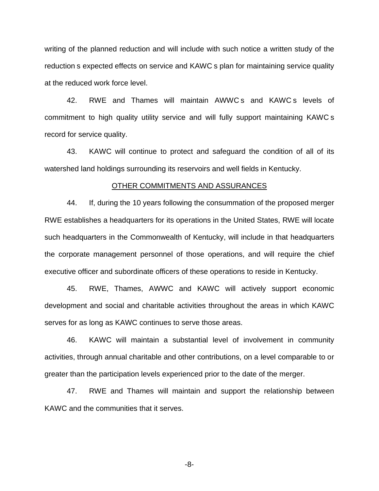writing of the planned reduction and will include with such notice a written study of the reduction s expected effects on service and KAWC s plan for maintaining service quality at the reduced work force level.

42. RWE and Thames will maintain AWWC s and KAWC s levels of commitment to high quality utility service and will fully support maintaining KAWC s record for service quality.

43. KAWC will continue to protect and safeguard the condition of all of its watershed land holdings surrounding its reservoirs and well fields in Kentucky.

#### OTHER COMMITMENTS AND ASSURANCES

44. If, during the 10 years following the consummation of the proposed merger RWE establishes a headquarters for its operations in the United States, RWE will locate such headquarters in the Commonwealth of Kentucky, will include in that headquarters the corporate management personnel of those operations, and will require the chief executive officer and subordinate officers of these operations to reside in Kentucky.

45. RWE, Thames, AWWC and KAWC will actively support economic development and social and charitable activities throughout the areas in which KAWC serves for as long as KAWC continues to serve those areas.

46. KAWC will maintain a substantial level of involvement in community activities, through annual charitable and other contributions, on a level comparable to or greater than the participation levels experienced prior to the date of the merger.

47. RWE and Thames will maintain and support the relationship between KAWC and the communities that it serves.

-8-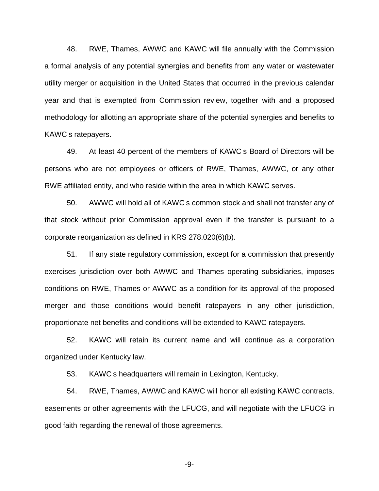48. RWE, Thames, AWWC and KAWC will file annually with the Commission a formal analysis of any potential synergies and benefits from any water or wastewater utility merger or acquisition in the United States that occurred in the previous calendar year and that is exempted from Commission review, together with and a proposed methodology for allotting an appropriate share of the potential synergies and benefits to KAWC s ratepayers.

49. At least 40 percent of the members of KAWC s Board of Directors will be persons who are not employees or officers of RWE, Thames, AWWC, or any other RWE affiliated entity, and who reside within the area in which KAWC serves.

50. AWWC will hold all of KAWC s common stock and shall not transfer any of that stock without prior Commission approval even if the transfer is pursuant to a corporate reorganization as defined in KRS 278.020(6)(b).

51. If any state regulatory commission, except for a commission that presently exercises jurisdiction over both AWWC and Thames operating subsidiaries, imposes conditions on RWE, Thames or AWWC as a condition for its approval of the proposed merger and those conditions would benefit ratepayers in any other jurisdiction, proportionate net benefits and conditions will be extended to KAWC ratepayers.

52. KAWC will retain its current name and will continue as a corporation organized under Kentucky law.

53. KAWC s headquarters will remain in Lexington, Kentucky.

54. RWE, Thames, AWWC and KAWC will honor all existing KAWC contracts, easements or other agreements with the LFUCG, and will negotiate with the LFUCG in good faith regarding the renewal of those agreements.

-9-